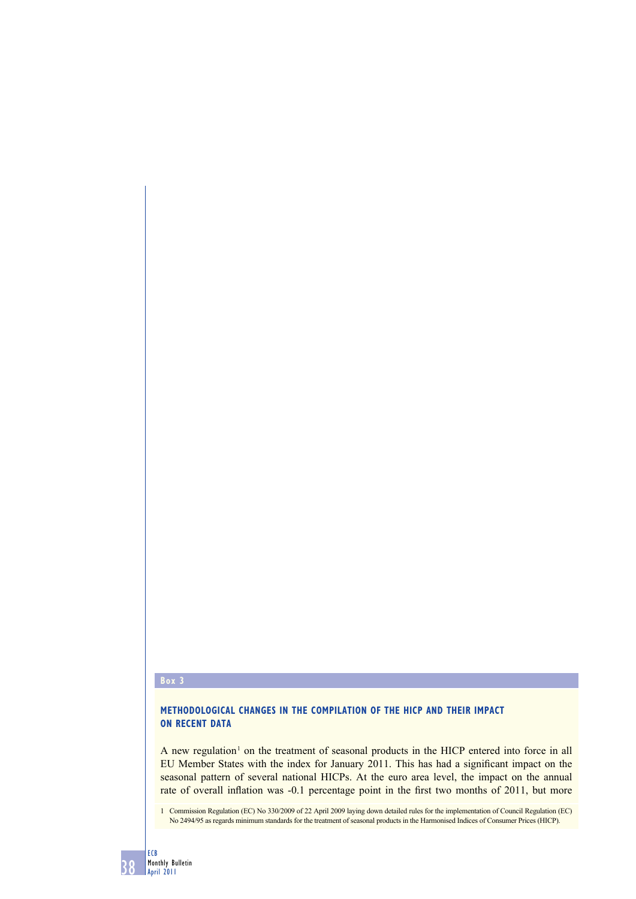#### **Box 3**

# **METHODOLOGICAL CHANGES IN THE COMPILATION OF THE HICP AND THEIR IMPACT ON RECENT DATA**

A new regulation<sup>1</sup> on the treatment of seasonal products in the HICP entered into force in all EU Member States with the index for January 2011. This has had a significant impact on the seasonal pattern of several national HICPs. At the euro area level, the impact on the annual rate of overall inflation was -0.1 percentage point in the first two months of 2011, but more

1 Commission Regulation (EC) No 330/2009 of 22 April 2009 laying down detailed rules for the implementation of Council Regulation (EC) No 2494/95 as regards minimum standards for the treatment of seasonal products in the Harmonised Indices of Consumer Prices (HICP).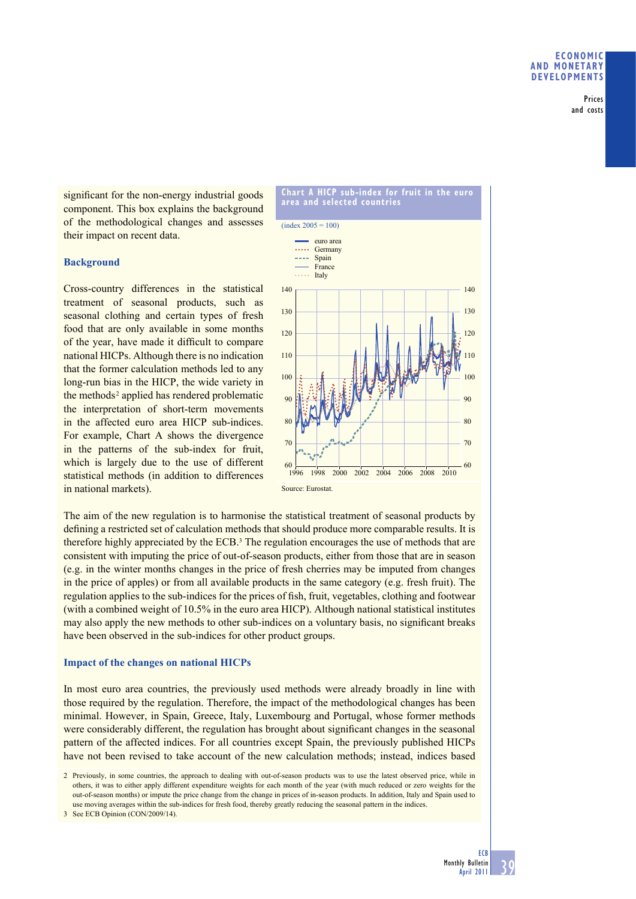Prices and costs

significant for the non-energy industrial goods component. This box explains the background of the methodological changes and assesses their impact on recent data.

### **Background**

Cross-country differences in the statistical treatment of seasonal products, such as seasonal clothing and certain types of fresh food that are only available in some months of the year, have made it difficult to compare national HICPs. Although there is no indication that the former calculation methods led to any long-run bias in the HICP, the wide variety in the methods<sup>2</sup> applied has rendered problematic the interpretation of short-term movements in the affected euro area HICP sub-indices. For example, Chart A shows the divergence in the patterns of the sub-index for fruit, which is largely due to the use of different statistical methods (in addition to differences in national markets).



The aim of the new regulation is to harmonise the statistical treatment of seasonal products by defining a restricted set of calculation methods that should produce more comparable results. It is therefore highly appreciated by the  $ECB<sup>3</sup>$ . The regulation encourages the use of methods that are consistent with imputing the price of out-of-season products, either from those that are in season (e.g. in the winter months changes in the price of fresh cherries may be imputed from changes in the price of apples) or from all available products in the same category (e.g. fresh fruit). The regulation applies to the sub-indices for the prices of fish, fruit, vegetables, clothing and footwear (with a combined weight of 10.5% in the euro area HICP). Although national statistical institutes may also apply the new methods to other sub-indices on a voluntary basis, no significant breaks have been observed in the sub-indices for other product groups.

### **Impact of the changes on national HICPs**

In most euro area countries, the previously used methods were already broadly in line with those required by the regulation. Therefore, the impact of the methodological changes has been minimal. However, in Spain, Greece, Italy, Luxembourg and Portugal, whose former methods were considerably different, the regulation has brought about significant changes in the seasonal pattern of the affected indices. For all countries except Spain, the previously published HICPs have not been revised to take account of the new calculation methods; instead, indices based

3 See ECB Opinion (CON/2009/14).

<sup>2</sup> Previously, in some countries, the approach to dealing with out-of-season products was to use the latest observed price, while in others, it was to either apply different expenditure weights for each month of the year (with much reduced or zero weights for the out-of-season months) or impute the price change from the change in prices of in-season products. In addition, Italy and Spain used to use moving averages within the sub-indices for fresh food, thereby greatly reducing the seasonal pattern in the indices.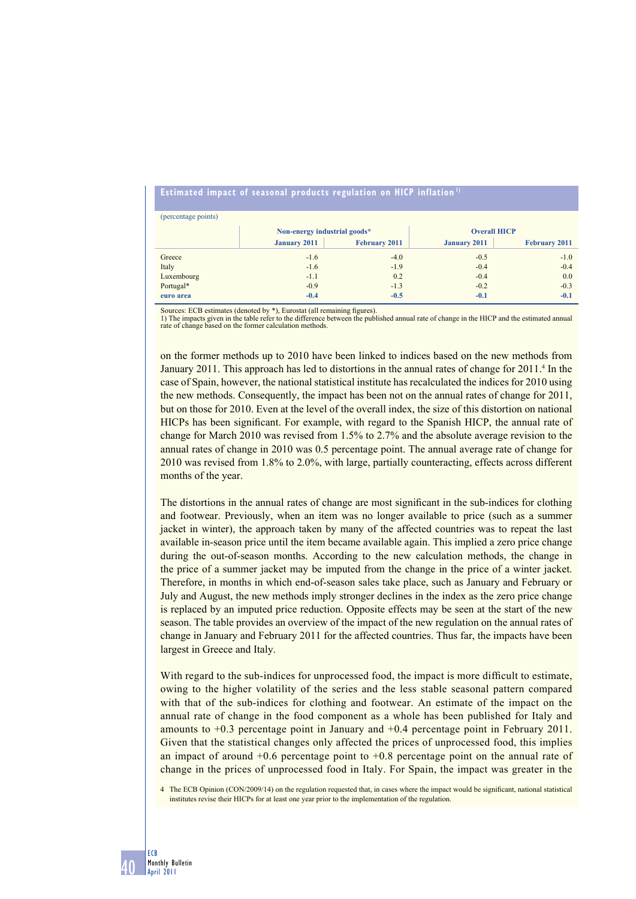## **Estimated impact of seasonal products regulation on HICP inflation 1)**

| (percentage points) |                              |                      |                     |                      |
|---------------------|------------------------------|----------------------|---------------------|----------------------|
|                     | Non-energy industrial goods* |                      | <b>Overall HICP</b> |                      |
|                     | <b>January 2011</b>          | <b>February 2011</b> | <b>January 2011</b> | <b>February 2011</b> |
| Greece              | $-1.6$                       | $-4.0$               | $-0.5$              | $-1.0$               |
| Italy               | $-1.6$                       | $-1.9$               | $-0.4$              | $-0.4$               |
| Luxembourg          | $-1.1$                       | 0.2                  | $-0.4$              | 0.0                  |
| Portugal*           | $-0.9$                       | $-1.3$               | $-0.2$              | $-0.3$               |
| euro area           | $-0.4$                       | $-0.5$               | $-0.1$              | $-0.1$               |

Sources: ECB estimates (denoted by \*), Eurostat (all remaining figures).<br>1) The impacts given in the table refer to the difference between the published annual rate of change in the HICP and the estimated annual<br>rate of ch

on the former methods up to 2010 have been linked to indices based on the new methods from January 2011. This approach has led to distortions in the annual rates of change for 2011.<sup>4</sup> In the case of Spain, however, the national statistical institute has recalculated the indices for 2010 using the new methods. Consequently, the impact has been not on the annual rates of change for 2011, but on those for 2010. Even at the level of the overall index, the size of this distortion on national HICPs has been significant. For example, with regard to the Spanish HICP, the annual rate of change for March 2010 was revised from 1.5% to 2.7% and the absolute average revision to the annual rates of change in 2010 was 0.5 percentage point. The annual average rate of change for 2010 was revised from 1.8% to 2.0%, with large, partially counteracting, effects across different months of the year.

The distortions in the annual rates of change are most significant in the sub-indices for clothing and footwear. Previously, when an item was no longer available to price (such as a summer jacket in winter), the approach taken by many of the affected countries was to repeat the last available in-season price until the item became available again. This implied a zero price change during the out-of-season months. According to the new calculation methods, the change in the price of a summer jacket may be imputed from the change in the price of a winter jacket. Therefore, in months in which end-of-season sales take place, such as January and February or July and August, the new methods imply stronger declines in the index as the zero price change is replaced by an imputed price reduction. Opposite effects may be seen at the start of the new season. The table provides an overview of the impact of the new regulation on the annual rates of change in January and February 2011 for the affected countries. Thus far, the impacts have been largest in Greece and Italy.

With regard to the sub-indices for unprocessed food, the impact is more difficult to estimate, owing to the higher volatility of the series and the less stable seasonal pattern compared with that of the sub-indices for clothing and footwear. An estimate of the impact on the annual rate of change in the food component as a whole has been published for Italy and amounts to +0.3 percentage point in January and +0.4 percentage point in February 2011. Given that the statistical changes only affected the prices of unprocessed food, this implies an impact of around  $+0.6$  percentage point to  $+0.8$  percentage point on the annual rate of change in the prices of unprocessed food in Italy. For Spain, the impact was greater in the

4 The ECB Opinion (CON/2009/14) on the regulation requested that, in cases where the impact would be significant, national statistical institutes revise their HICPs for at least one year prior to the implementation of the regulation.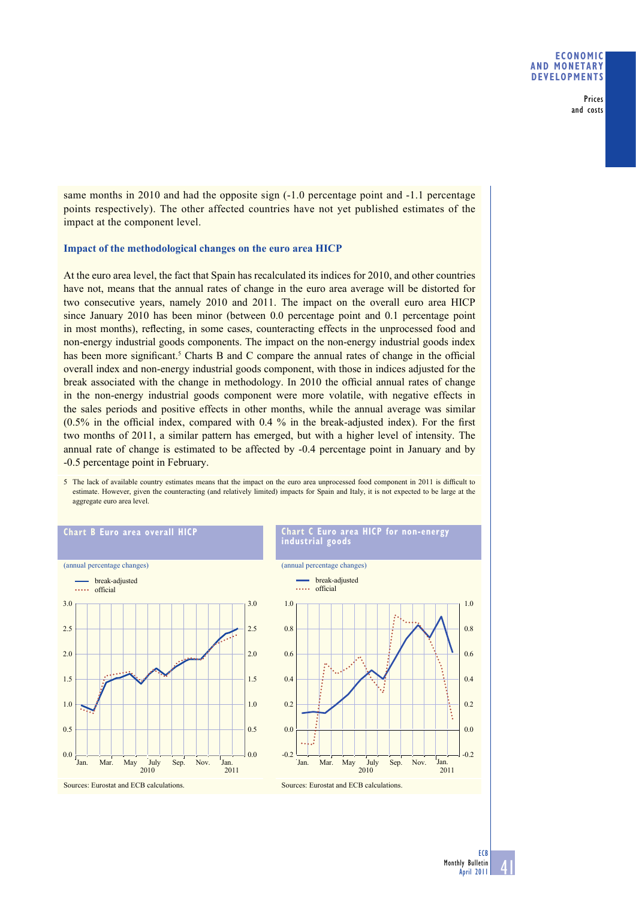Prices and costs

same months in 2010 and had the opposite sign  $(-1.0$  percentage point and  $-1.1$  percentage points respectively). The other affected countries have not yet published estimates of the impact at the component level.

### **Impact of the methodological changes on the euro area HICP**

At the euro area level, the fact that Spain has recalculated its indices for 2010, and other countries have not, means that the annual rates of change in the euro area average will be distorted for two consecutive years, namely 2010 and 2011. The impact on the overall euro area HICP since January 2010 has been minor (between 0.0 percentage point and 0.1 percentage point in most months), reflecting, in some cases, counteracting effects in the unprocessed food and non-energy industrial goods components. The impact on the non-energy industrial goods index has been more significant.<sup>5</sup> Charts B and C compare the annual rates of change in the official overall index and non-energy industrial goods component, with those in indices adjusted for the break associated with the change in methodology. In 2010 the official annual rates of change in the non-energy industrial goods component were more volatile, with negative effects in the sales periods and positive effects in other months, while the annual average was similar  $(0.5\%$  in the official index, compared with 0.4 % in the break-adjusted index). For the first two months of 2011, a similar pattern has emerged, but with a higher level of intensity. The annual rate of change is estimated to be affected by -0.4 percentage point in January and by -0.5 percentage point in February.





41